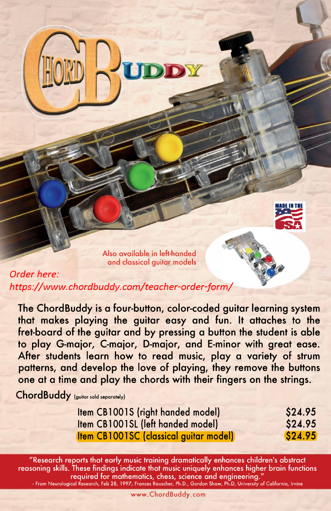

Also available in left-handed and classical guitar models

*Order here: https://www.chordbuddy.com/teacher-order-form/*

**The ChordBuddy is a four-button, color-coded guitar learning system that makes playing the guitar easy and fun. It attaches to the fret-board of the guitar and by pressing a button the student is able to play G-major, C-major, D-major, and E-minor with great ease. After students learn how to read music, play a variety of strum patterns, and develop the love of playing, they remove the buttons one at a time and play the chords with their fingers on the strings.** 

ChordBuddy (guitar sald separately)

| Item CB1001S (right handed model)             | \$24.95 |
|-----------------------------------------------|---------|
| <b>Item CB1001SL (left handed model)</b>      | \$24.95 |
| <b>Item CB1001SC (classical guitar model)</b> | \$24.95 |

"Research reports that early music training dramatically enhances children's abstract reasoning skills. These findings indicate that music uniquely enhances higher brain functions required for mathematics, chess, science and engineering." **- From Neurological Research, Feb 28, 1997, Frances Rauscher, Ph.D., Gordon Shaw, Ph.D, University of Calforn,a, Irvine**